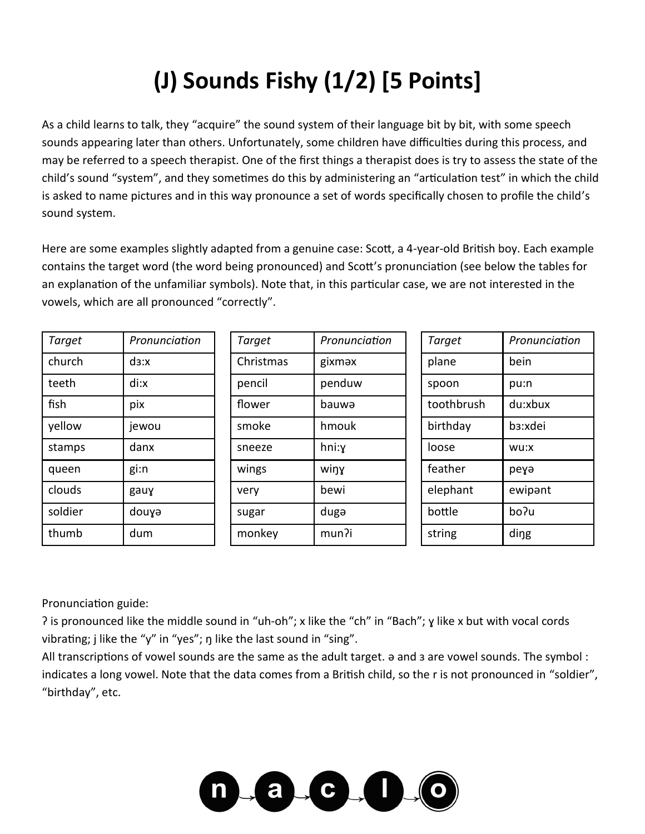## **(J) Sounds Fishy (1/2) [5 Points]**

As a child learns to talk, they "acquire" the sound system of their language bit by bit, with some speech sounds appearing later than others. Unfortunately, some children have difficulties during this process, and may be referred to a speech therapist. One of the first things a therapist does is try to assess the state of the child's sound "system", and they sometimes do this by administering an "articulation test" in which the child is asked to name pictures and in this way pronounce a set of words specifically chosen to profile the child's sound system.

Here are some examples slightly adapted from a genuine case: Scott, a 4-year-old British boy. Each example contains the target word (the word being pronounced) and Scott's pronunciation (see below the tables for an explanation of the unfamiliar symbols). Note that, in this particular case, we are not interested in the vowels, which are all pronounced "correctly".

| Target  | Pronunciation | Target    | Pronunciation | Target     | Pronunciation        |
|---------|---------------|-----------|---------------|------------|----------------------|
| church  | ds:x          | Christmas | gixməx        | plane      | bein                 |
| teeth   | di:x          | pencil    | penduw        | spoon      | pu:n                 |
| fish    | pix           | flower    | bauwa         | toothbrush | du:xbux              |
| yellow  | jewou         | smoke     | hmouk         | birthday   | b <sub>3</sub> :xdei |
| stamps  | danx          | sneeze    | hni:y         | loose      | wu:x                 |
| queen   | gi:n          | wings     | winy          | feather    | реуә                 |
| clouds  | gauy          | very      | bewi          | elephant   | ewipant              |
| soldier | douya         | sugar     | duga          | bottle     | bo?u                 |
| thumb   | dum           | monkey    | mun?i         | string     | ding                 |

Pronunciation guide:

? is pronounced like the middle sound in "uh-oh"; x like the "ch" in "Bach"; y like x but with vocal cords vibrating; j like the "y" in "yes"; n like the last sound in "sing".

All transcriptions of vowel sounds are the same as the adult target.  $\theta$  and 3 are vowel sounds. The symbol: indicates a long vowel. Note that the data comes from a British child, so the r is not pronounced in "soldier", "birthday", etc.